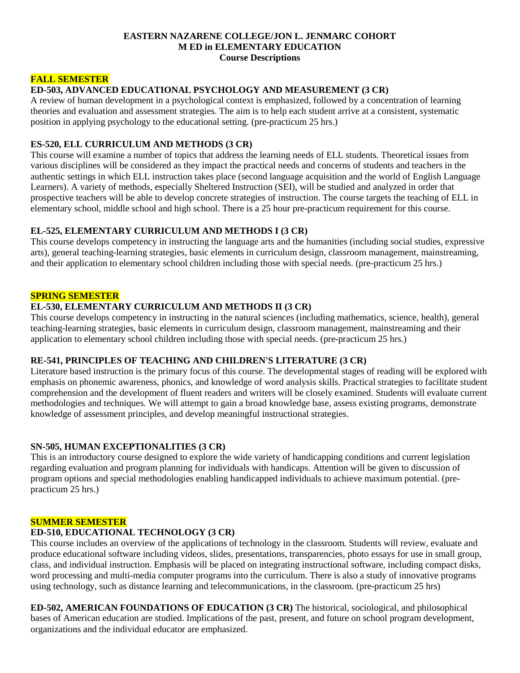#### **EASTERN NAZARENE COLLEGE/JON L. JENMARC COHORT M ED in ELEMENTARY EDUCATION Course Descriptions**

### **FALL SEMESTER**

### **ED-503, ADVANCED EDUCATIONAL PSYCHOLOGY AND MEASUREMENT (3 CR)**

A review of human development in a psychological context is emphasized, followed by a concentration of learning theories and evaluation and assessment strategies. The aim is to help each student arrive at a consistent, systematic position in applying psychology to the educational setting. (pre-practicum 25 hrs.)

### **ES-520, ELL CURRICULUM AND METHODS (3 CR)**

This course will examine a number of topics that address the learning needs of ELL students. Theoretical issues from various disciplines will be considered as they impact the practical needs and concerns of students and teachers in the authentic settings in which ELL instruction takes place (second language acquisition and the world of English Language Learners). A variety of methods, especially Sheltered Instruction (SEI), will be studied and analyzed in order that prospective teachers will be able to develop concrete strategies of instruction. The course targets the teaching of ELL in elementary school, middle school and high school. There is a 25 hour pre-practicum requirement for this course.

### **EL-525, ELEMENTARY CURRICULUM AND METHODS I (3 CR)**

This course develops competency in instructing the language arts and the humanities (including social studies, expressive arts), general teaching-learning strategies, basic elements in curriculum design, classroom management, mainstreaming, and their application to elementary school children including those with special needs. (pre-practicum 25 hrs.)

### **SPRING SEMESTER**

# **EL-530, ELEMENTARY CURRICULUM AND METHODS II (3 CR)**

This course develops competency in instructing in the natural sciences (including mathematics, science, health), general teaching-learning strategies, basic elements in curriculum design, classroom management, mainstreaming and their application to elementary school children including those with special needs. (pre-practicum 25 hrs.)

# **RE-541, PRINCIPLES OF TEACHING AND CHILDREN'S LITERATURE (3 CR)**

Literature based instruction is the primary focus of this course. The developmental stages of reading will be explored with emphasis on phonemic awareness, phonics, and knowledge of word analysis skills. Practical strategies to facilitate student comprehension and the development of fluent readers and writers will be closely examined. Students will evaluate current methodologies and techniques. We will attempt to gain a broad knowledge base, assess existing programs, demonstrate knowledge of assessment principles, and develop meaningful instructional strategies.

# **SN-505, HUMAN EXCEPTIONALITIES (3 CR)**

This is an introductory course designed to explore the wide variety of handicapping conditions and current legislation regarding evaluation and program planning for individuals with handicaps. Attention will be given to discussion of program options and special methodologies enabling handicapped individuals to achieve maximum potential. (prepracticum 25 hrs.)

### **SUMMER SEMESTER**

# **ED-510, EDUCATIONAL TECHNOLOGY (3 CR)**

This course includes an overview of the applications of technology in the classroom. Students will review, evaluate and produce educational software including videos, slides, presentations, transparencies, photo essays for use in small group, class, and individual instruction. Emphasis will be placed on integrating instructional software, including compact disks, word processing and multi-media computer programs into the curriculum. There is also a study of innovative programs using technology, such as distance learning and telecommunications, in the classroom. (pre-practicum 25 hrs)

**ED-502, AMERICAN FOUNDATIONS OF EDUCATION (3 CR)** The historical, sociological, and philosophical bases of American education are studied. Implications of the past, present, and future on school program development, organizations and the individual educator are emphasized.